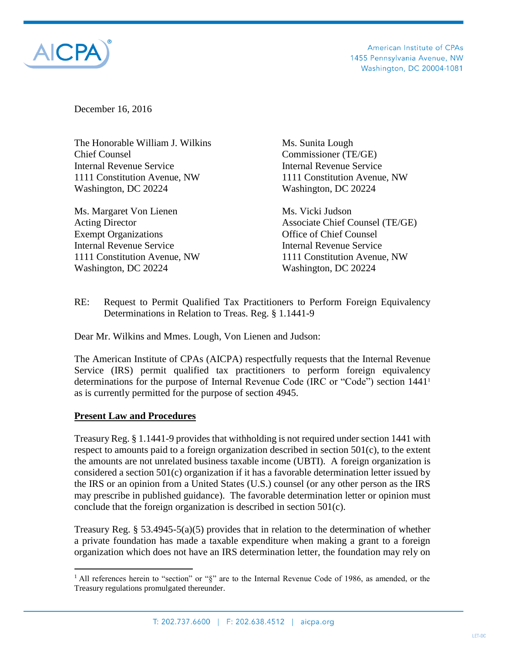

American Institute of CPAs 1455 Pennsylvania Avenue, NW Washington, DC 20004-1081

December 16, 2016

The Honorable William J. Wilkins Ms. Sunita Lough Chief Counsel Commissioner (TE/GE) Internal Revenue Service Internal Revenue Service 1111 Constitution Avenue, NW 1111 Constitution Avenue, NW Washington, DC 20224 Washington, DC 20224

Ms. Margaret Von Lienen Ms. Vicki Judson Exempt Organizations **Exempt** Organizations **Office** of Chief Counsel Internal Revenue Service Internal Revenue Service Washington, DC 20224 Washington, DC 20224

Acting Director **Associate Chief Counsel (TE/GE)** 1111 Constitution Avenue, NW 1111 Constitution Avenue, NW

RE: Request to Permit Qualified Tax Practitioners to Perform Foreign Equivalency Determinations in Relation to Treas. Reg. § 1.1441-9

Dear Mr. Wilkins and Mmes. Lough, Von Lienen and Judson:

The American Institute of CPAs (AICPA) respectfully requests that the Internal Revenue Service (IRS) permit qualified tax practitioners to perform foreign equivalency determinations for the purpose of Internal Revenue Code (IRC or "Code") section 1441<sup>1</sup> as is currently permitted for the purpose of section 4945.

## **Present Law and Procedures**

 $\overline{a}$ 

Treasury Reg. § 1.1441-9 provides that withholding is not required under section 1441 with respect to amounts paid to a foreign organization described in section  $501(c)$ , to the extent the amounts are not unrelated business taxable income (UBTI). A foreign organization is considered a section 501(c) organization if it has a favorable determination letter issued by the IRS or an opinion from a United States (U.S.) counsel (or any other person as the IRS may prescribe in published guidance). The favorable determination letter or opinion must conclude that the foreign organization is described in section 501(c).

Treasury Reg. § 53.4945-5(a)(5) provides that in relation to the determination of whether a private foundation has made a taxable expenditure when making a grant to a foreign organization which does not have an IRS determination letter, the foundation may rely on

<sup>&</sup>lt;sup>1</sup> All references herein to "section" or "§" are to the Internal Revenue Code of 1986, as amended, or the Treasury regulations promulgated thereunder.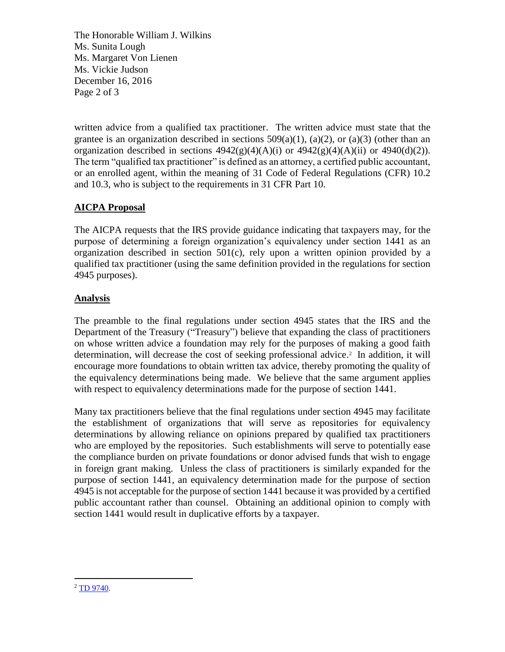The Honorable William J. Wilkins Ms. Sunita Lough Ms. Margaret Von Lienen Ms. Vickie Judson December 16, 2016 Page 2 of 3

written advice from a qualified tax practitioner. The written advice must state that the grantee is an organization described in sections  $509(a)(1)$ ,  $(a)(2)$ , or  $(a)(3)$  (other than an organization described in sections  $4942(g)(4)(A)(i)$  or  $4942(g)(4)(A)(ii)$  or  $4940(d)(2)$ ). The term "qualified tax practitioner" is defined as an attorney, a certified public accountant, or an enrolled agent, within the meaning of 31 Code of Federal Regulations (CFR) 10.2 and 10.3, who is subject to the requirements in 31 CFR Part 10.

## **AICPA Proposal**

The AICPA requests that the IRS provide guidance indicating that taxpayers may, for the purpose of determining a foreign organization's equivalency under section 1441 as an organization described in section 501(c), rely upon a written opinion provided by a qualified tax practitioner (using the same definition provided in the regulations for section 4945 purposes).

## **Analysis**

The preamble to the final regulations under section 4945 states that the IRS and the Department of the Treasury ("Treasury") believe that expanding the class of practitioners on whose written advice a foundation may rely for the purposes of making a good faith determination, will decrease the cost of seeking professional advice. 2 In addition, it will encourage more foundations to obtain written tax advice, thereby promoting the quality of the equivalency determinations being made. We believe that the same argument applies with respect to equivalency determinations made for the purpose of section 1441.

Many tax practitioners believe that the final regulations under section 4945 may facilitate the establishment of organizations that will serve as repositories for equivalency determinations by allowing reliance on opinions prepared by qualified tax practitioners who are employed by the repositories. Such establishments will serve to potentially ease the compliance burden on private foundations or donor advised funds that wish to engage in foreign grant making. Unless the class of practitioners is similarly expanded for the purpose of section 1441, an equivalency determination made for the purpose of section 4945 is not acceptable for the purpose of section 1441 because it was provided by a certified public accountant rather than counsel. Obtaining an additional opinion to comply with section 1441 would result in duplicative efforts by a taxpayer.

 $\overline{a}$  $2$  [TD 9740.](https://www.gpo.gov/fdsys/pkg/FR-2015-09-25/pdf/2015-24346.pdf)